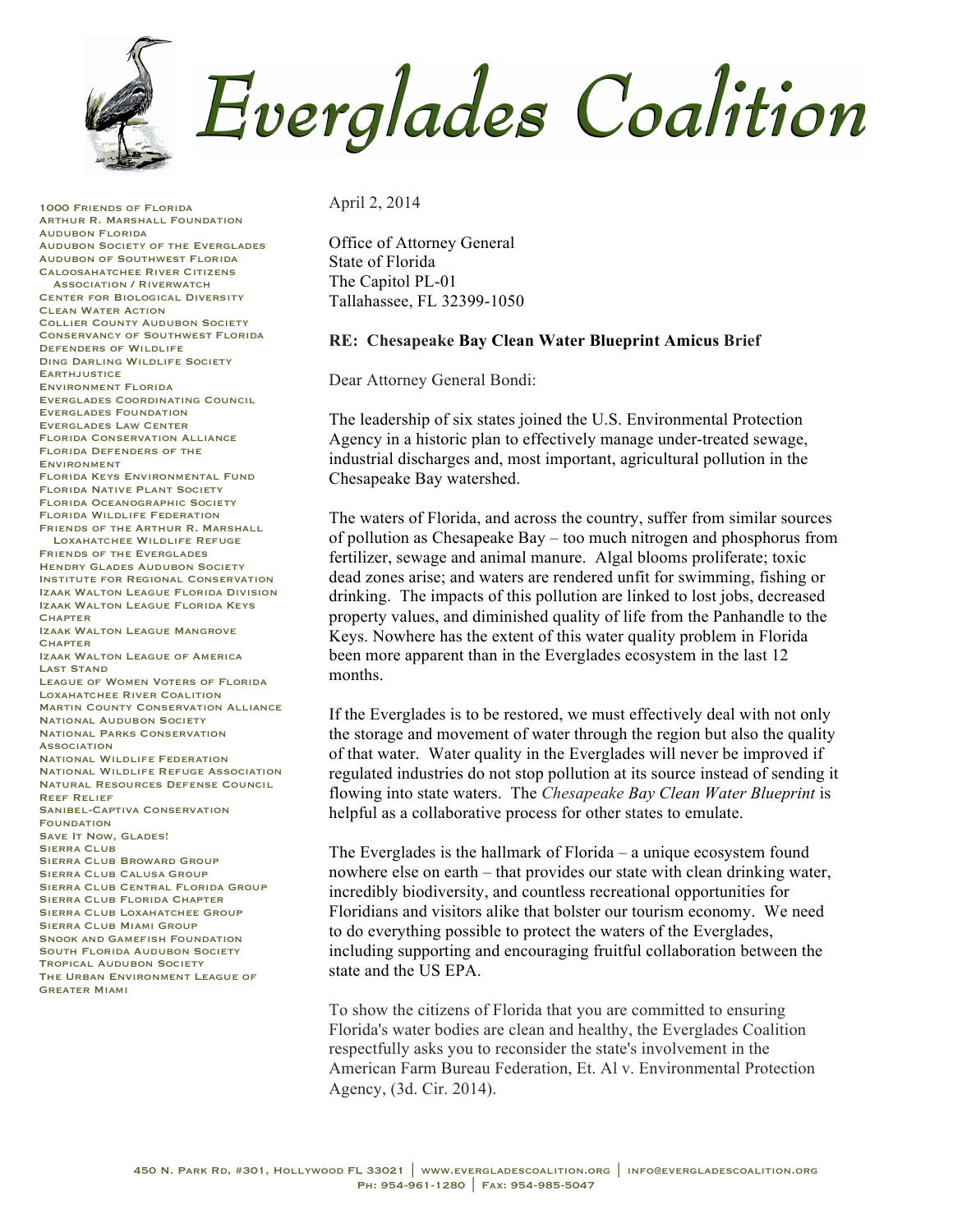Everglades Coalition

1000 Friends of Florida Arthur R. Marshall Foundation Audubon Florida Audubon Society of the Everglades Audubon of Southwest Florida Caloosahatchee River Citizens Association / Riverwatch Center for Biological Diversity Clean Water Action Collier County Audubon Society Conservancy of Southwest Florida Defenders of Wildlife Ding Darling Wildlife Society **EARTHJUSTICE** Environment Florida Everglades Coordinating Council Everglades Foundation Everglades Law Center Florida Conservation Alliance Florida Defenders of the Environment Florida Keys Environmental Fund Florida Native Plant Society Florida Oceanographic Society Florida Wildlife Federation Friends of the Arthur R. Marshall Loxahatchee Wildlife Refuge Friends of the Everglades **HENDRY GLADES AUDUBON SOCIETY** Institute for Regional Conservation Izaak Walton League Florida Division Izaak Walton League Florida Keys **CHAPTER** Izaak Walton League Mangrove **CHAPTER** Izaak Walton League of America Last Stand League of Women Voters of Florida Loxahatchee River Coalition Martin County Conservation Alliance **NATIONAL AUDUBON SOCIETY** National Parks Conservation **ASSOCIATION** National Wildlife Federation National Wildlife Refuge Association Natural Resources Defense Council Reef Relief Sanibel-Captiva Conservation **FOUNDATION** SAVE IT NOW, GLADES! SIERRA CLUB Sierra Club Broward Group Sierra Club Calusa Group Sierra Club Central Florida Group Sierra Club Florida Chapter SIERRA CLUB LOXAHATCHEE GROUP Sierra Club Miami Group SNOOK AND GAMEFISH FOUNDATION SOUTH FLORIDA AUDUBON SOCIETY Tropical Audubon Society The Urban Environment League of Greater Miami

April 2, 2014

Office of Attorney General State of Florida The Capitol PL-01 Tallahassee, FL 32399-1050

## **RE: Chesapeake Bay Clean Water Blueprint Amicus Brief**

Dear Attorney General Bondi:

The leadership of six states joined the U.S. Environmental Protection Agency in a historic plan to effectively manage under-treated sewage, industrial discharges and, most important, agricultural pollution in the Chesapeake Bay watershed.

The waters of Florida, and across the country, suffer from similar sources of pollution as Chesapeake Bay – too much nitrogen and phosphorus from fertilizer, sewage and animal manure. Algal blooms proliferate; toxic dead zones arise; and waters are rendered unfit for swimming, fishing or drinking. The impacts of this pollution are linked to lost jobs, decreased property values, and diminished quality of life from the Panhandle to the Keys. Nowhere has the extent of this water quality problem in Florida been more apparent than in the Everglades ecosystem in the last 12 months.

If the Everglades is to be restored, we must effectively deal with not only the storage and movement of water through the region but also the quality of that water. Water quality in the Everglades will never be improved if regulated industries do not stop pollution at its source instead of sending it flowing into state waters. The *Chesapeake Bay Clean Water Blueprint* is helpful as a collaborative process for other states to emulate.

The Everglades is the hallmark of Florida – a unique ecosystem found nowhere else on earth – that provides our state with clean drinking water, incredibly biodiversity, and countless recreational opportunities for Floridians and visitors alike that bolster our tourism economy. We need to do everything possible to protect the waters of the Everglades, including supporting and encouraging fruitful collaboration between the state and the US EPA.

To show the citizens of Florida that you are committed to ensuring Florida's water bodies are clean and healthy, the Everglades Coalition respectfully asks you to reconsider the state's involvement in the American Farm Bureau Federation, Et. Al v. Environmental Protection Agency, (3d. Cir. 2014).